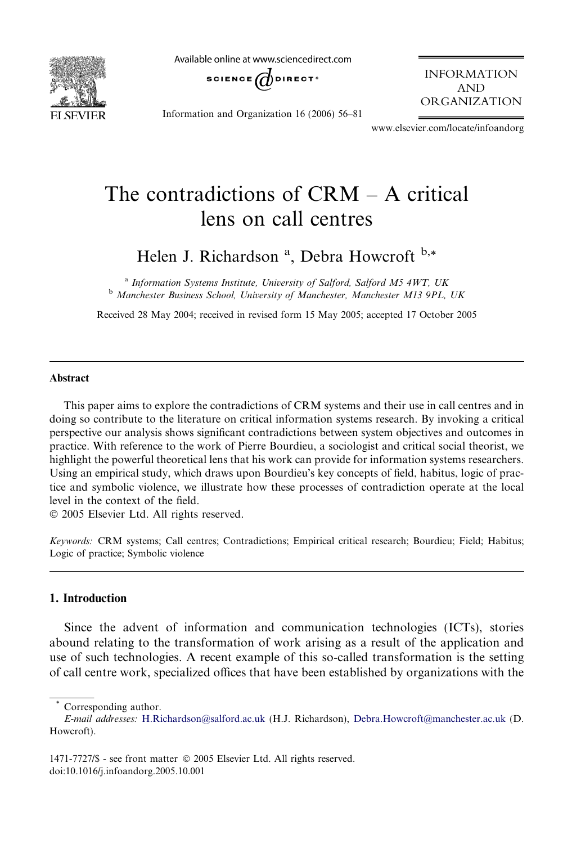

Available online at www.sciencedirect.com



INFORMATION AND ORGANIZATION

Information and Organization 16 (2006) 56–81

www.elsevier.com/locate/infoandorg

## The contradictions of CRM – A critical lens on call centres

Helen J. Richardson<sup>a</sup>, Debra Howcroft<sup>b,\*</sup>

<sup>a</sup> Information Systems Institute, University of Salford, Salford M5 4WT, UK <sup>b</sup> Manchester Business School, University of Manchester, Manchester M13 9PL, UK

Received 28 May 2004; received in revised form 15 May 2005; accepted 17 October 2005

#### Abstract

This paper aims to explore the contradictions of CRM systems and their use in call centres and in doing so contribute to the literature on critical information systems research. By invoking a critical perspective our analysis shows significant contradictions between system objectives and outcomes in practice. With reference to the work of Pierre Bourdieu, a sociologist and critical social theorist, we highlight the powerful theoretical lens that his work can provide for information systems researchers. Using an empirical study, which draws upon Bourdieu's key concepts of field, habitus, logic of practice and symbolic violence, we illustrate how these processes of contradiction operate at the local level in the context of the field.

2005 Elsevier Ltd. All rights reserved.

Keywords: CRM systems; Call centres; Contradictions; Empirical critical research; Bourdieu; Field; Habitus; Logic of practice; Symbolic violence

### 1. Introduction

Since the advent of information and communication technologies (ICTs), stories abound relating to the transformation of work arising as a result of the application and use of such technologies. A recent example of this so-called transformation is the setting of call centre work, specialized offices that have been established by organizations with the

Corresponding author.

E-mail addresses: [H.Richardson@salford.ac.uk](mailto:H.Richardson@salford.ac.uk) (H.J. Richardson), [Debra.Howcroft@manchester.ac.uk](mailto:Debra.Howcroft@manchester.ac.uk) (D. Howcroft).

<sup>1471-7727/\$ -</sup> see front matter © 2005 Elsevier Ltd. All rights reserved. doi:10.1016/j.infoandorg.2005.10.001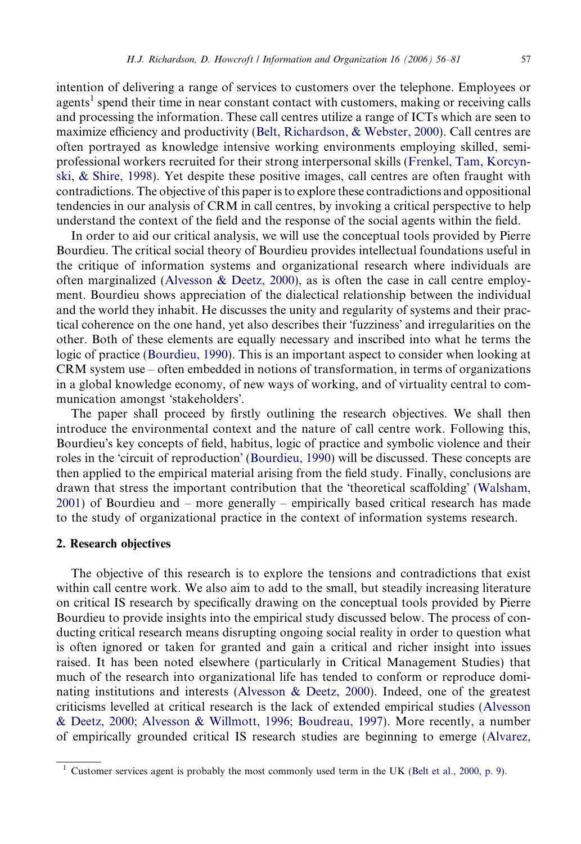intention of delivering a range of services to customers over the telephone. Employees or agents<sup>1</sup> spend their time in near constant contact with customers, making or receiving calls and processing the information. These call centres utilize a range of ICTs which are seen to maximize efficiency and productivity [\(Belt, Richardson, & Webster, 2000\)](#page--1-0). Call centres are often portrayed as knowledge intensive working environments employing skilled, semiprofessional workers recruited for their strong interpersonal skills ([Frenkel, Tam, Korcyn](#page--1-0)[ski, & Shire, 1998\)](#page--1-0). Yet despite these positive images, call centres are often fraught with contradictions. The objective of this paper is to explore these contradictions and oppositional tendencies in our analysis of CRM in call centres, by invoking a critical perspective to help understand the context of the field and the response of the social agents within the field.

In order to aid our critical analysis, we will use the conceptual tools provided by Pierre Bourdieu. The critical social theory of Bourdieu provides intellectual foundations useful in the critique of information systems and organizational research where individuals are often marginalized ([Alvesson & Deetz, 2000](#page--1-0)), as is often the case in call centre employment. Bourdieu shows appreciation of the dialectical relationship between the individual and the world they inhabit. He discusses the unity and regularity of systems and their practical coherence on the one hand, yet also describes their 'fuzziness' and irregularities on the other. Both of these elements are equally necessary and inscribed into what he terms the logic of practice ([Bourdieu, 1990\)](#page--1-0). This is an important aspect to consider when looking at CRM system use – often embedded in notions of transformation, in terms of organizations in a global knowledge economy, of new ways of working, and of virtuality central to communication amongst 'stakeholders'.

The paper shall proceed by firstly outlining the research objectives. We shall then introduce the environmental context and the nature of call centre work. Following this, Bourdieu's key concepts of field, habitus, logic of practice and symbolic violence and their roles in the 'circuit of reproduction' ([Bourdieu, 1990\)](#page--1-0) will be discussed. These concepts are then applied to the empirical material arising from the field study. Finally, conclusions are drawn that stress the important contribution that the 'theoretical scaffolding' [\(Walsham,](#page--1-0) [2001](#page--1-0)) of Bourdieu and – more generally – empirically based critical research has made to the study of organizational practice in the context of information systems research.

#### 2. Research objectives

The objective of this research is to explore the tensions and contradictions that exist within call centre work. We also aim to add to the small, but steadily increasing literature on critical IS research by specifically drawing on the conceptual tools provided by Pierre Bourdieu to provide insights into the empirical study discussed below. The process of conducting critical research means disrupting ongoing social reality in order to question what is often ignored or taken for granted and gain a critical and richer insight into issues raised. It has been noted elsewhere (particularly in Critical Management Studies) that much of the research into organizational life has tended to conform or reproduce dominating institutions and interests ([Alvesson & Deetz, 2000](#page--1-0)). Indeed, one of the greatest criticisms levelled at critical research is the lack of extended empirical studies [\(Alvesson](#page--1-0) [& Deetz, 2000; Alvesson & Willmott, 1996; Boudreau, 1997\)](#page--1-0). More recently, a number of empirically grounded critical IS research studies are beginning to emerge [\(Alvarez,](#page--1-0)

Customer services agent is probably the most commonly used term in the UK [\(Belt et al., 2000, p. 9\)](#page--1-0).